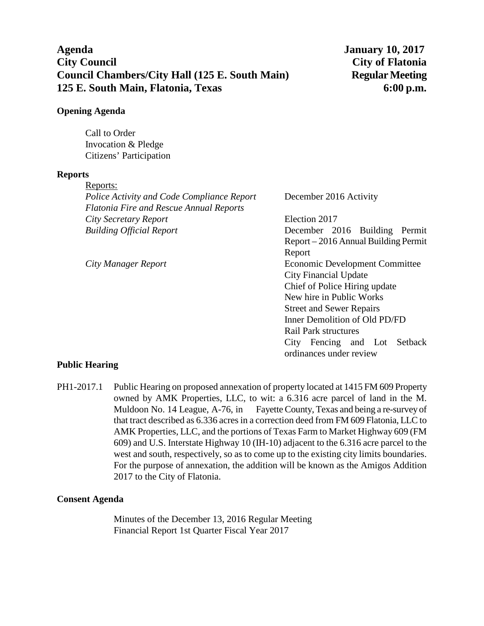# **Agenda January 10, 2017 City Council City of Flatonia Council Chambers/City Hall (125 E. South Main)** Regular Meeting **125 E. South Main, Flatonia, Texas 6:00 p.m.**

### **Opening Agenda**

Call to Order Invocation & Pledge Citizens' Participation

### **Reports**

| Reports:                                          |                                              |
|---------------------------------------------------|----------------------------------------------|
| <b>Police Activity and Code Compliance Report</b> | December 2016 Activity                       |
| <b>Flatonia Fire and Rescue Annual Reports</b>    |                                              |
| City Secretary Report                             | Election 2017                                |
| <b>Building Official Report</b>                   | December 2016 Building<br>Permit             |
|                                                   | Report – 2016 Annual Building Permit         |
|                                                   | Report                                       |
| City Manager Report                               | <b>Economic Development Committee</b>        |
|                                                   | City Financial Update                        |
|                                                   | Chief of Police Hiring update                |
|                                                   | New hire in Public Works                     |
|                                                   | <b>Street and Sewer Repairs</b>              |
|                                                   | Inner Demolition of Old PD/FD                |
|                                                   | <b>Rail Park structures</b>                  |
|                                                   | Fencing<br><b>Setback</b><br>City<br>and Lot |

ordinances under review

## **Public Hearing**

PH1-2017.1 Public Hearing on proposed annexation of property located at 1415 FM 609 Property owned by AMK Properties, LLC, to wit: a 6.316 acre parcel of land in the M. Muldoon No. 14 League, A-76, in Fayette County, Texas and being a re-survey of that tract described as 6.336 acres in a correction deed from FM 609 Flatonia, LLC to AMK Properties, LLC, and the portions of Texas Farm to Market Highway 609 (FM 609) and U.S. Interstate Highway 10 (IH-10) adjacent to the 6.316 acre parcel to the west and south, respectively, so as to come up to the existing city limits boundaries. For the purpose of annexation, the addition will be known as the Amigos Addition 2017 to the City of Flatonia.

## **Consent Agenda**

Minutes of the December 13, 2016 Regular Meeting Financial Report 1st Quarter Fiscal Year 2017